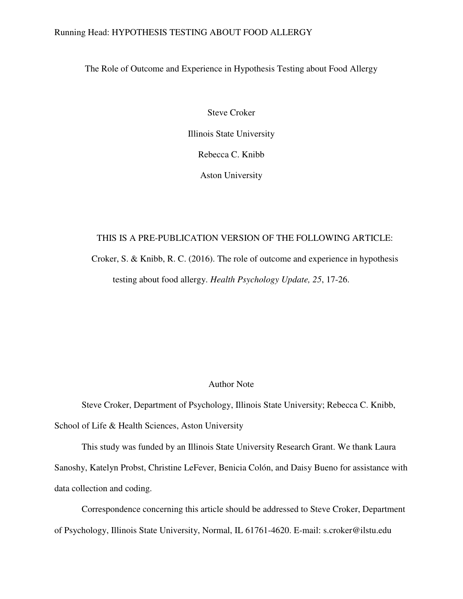# Running Head: HYPOTHESIS TESTING ABOUT FOOD ALLERGY

The Role of Outcome and Experience in Hypothesis Testing about Food Allergy

Steve Croker Illinois State University Rebecca C. Knibb Aston University

# THIS IS A PRE-PUBLICATION VERSION OF THE FOLLOWING ARTICLE:

Croker, S. & Knibb, R. C. (2016). The role of outcome and experience in hypothesis testing about food allergy. *Health Psychology Update, 25*, 17-26.

# Author Note

Steve Croker, Department of Psychology, Illinois State University; Rebecca C. Knibb, School of Life & Health Sciences, Aston University

This study was funded by an Illinois State University Research Grant. We thank Laura Sanoshy, Katelyn Probst, Christine LeFever, Benicia Colón, and Daisy Bueno for assistance with data collection and coding.

Correspondence concerning this article should be addressed to Steve Croker, Department of Psychology, Illinois State University, Normal, IL 61761-4620. E-mail: s.croker@ilstu.edu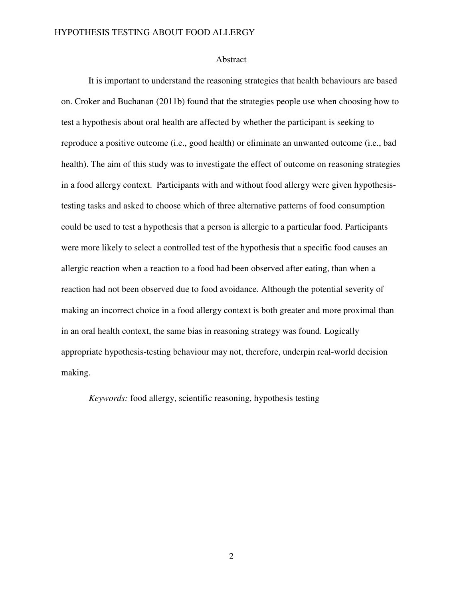### Abstract

It is important to understand the reasoning strategies that health behaviours are based on. Croker and Buchanan (2011b) found that the strategies people use when choosing how to test a hypothesis about oral health are affected by whether the participant is seeking to reproduce a positive outcome (i.e., good health) or eliminate an unwanted outcome (i.e., bad health). The aim of this study was to investigate the effect of outcome on reasoning strategies in a food allergy context. Participants with and without food allergy were given hypothesistesting tasks and asked to choose which of three alternative patterns of food consumption could be used to test a hypothesis that a person is allergic to a particular food. Participants were more likely to select a controlled test of the hypothesis that a specific food causes an allergic reaction when a reaction to a food had been observed after eating, than when a reaction had not been observed due to food avoidance. Although the potential severity of making an incorrect choice in a food allergy context is both greater and more proximal than in an oral health context, the same bias in reasoning strategy was found. Logically appropriate hypothesis-testing behaviour may not, therefore, underpin real-world decision making.

*Keywords:* food allergy, scientific reasoning, hypothesis testing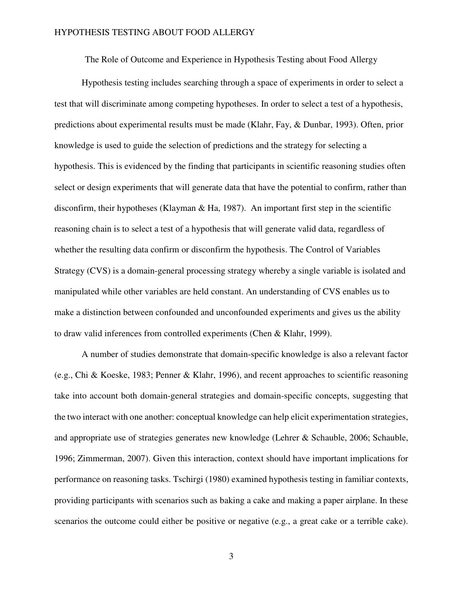The Role of Outcome and Experience in Hypothesis Testing about Food Allergy

Hypothesis testing includes searching through a space of experiments in order to select a test that will discriminate among competing hypotheses. In order to select a test of a hypothesis, predictions about experimental results must be made (Klahr, Fay, & Dunbar, 1993). Often, prior knowledge is used to guide the selection of predictions and the strategy for selecting a hypothesis. This is evidenced by the finding that participants in scientific reasoning studies often select or design experiments that will generate data that have the potential to confirm, rather than disconfirm, their hypotheses (Klayman & Ha, 1987). An important first step in the scientific reasoning chain is to select a test of a hypothesis that will generate valid data, regardless of whether the resulting data confirm or disconfirm the hypothesis. The Control of Variables Strategy (CVS) is a domain-general processing strategy whereby a single variable is isolated and manipulated while other variables are held constant. An understanding of CVS enables us to make a distinction between confounded and unconfounded experiments and gives us the ability to draw valid inferences from controlled experiments (Chen & Klahr, 1999).

A number of studies demonstrate that domain-specific knowledge is also a relevant factor (e.g., Chi & Koeske, 1983; Penner & Klahr, 1996), and recent approaches to scientific reasoning take into account both domain-general strategies and domain-specific concepts, suggesting that the two interact with one another: conceptual knowledge can help elicit experimentation strategies, and appropriate use of strategies generates new knowledge (Lehrer & Schauble, 2006; Schauble, 1996; Zimmerman, 2007). Given this interaction, context should have important implications for performance on reasoning tasks. Tschirgi (1980) examined hypothesis testing in familiar contexts, providing participants with scenarios such as baking a cake and making a paper airplane. In these scenarios the outcome could either be positive or negative (e.g., a great cake or a terrible cake).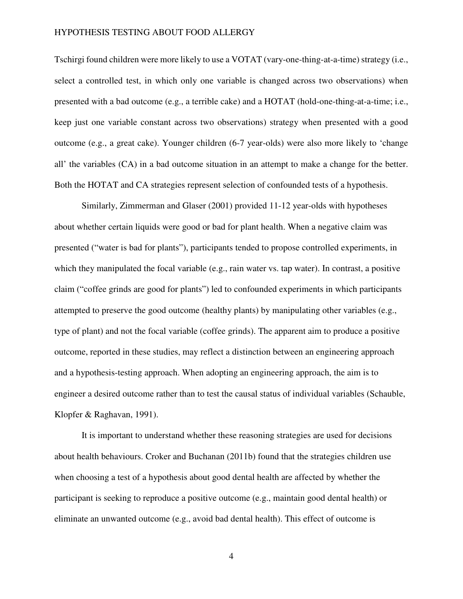Tschirgi found children were more likely to use a VOTAT (vary-one-thing-at-a-time) strategy (i.e., select a controlled test, in which only one variable is changed across two observations) when presented with a bad outcome (e.g., a terrible cake) and a HOTAT (hold-one-thing-at-a-time; i.e., keep just one variable constant across two observations) strategy when presented with a good outcome (e.g., a great cake). Younger children (6-7 year-olds) were also more likely to 'change all' the variables (CA) in a bad outcome situation in an attempt to make a change for the better. Both the HOTAT and CA strategies represent selection of confounded tests of a hypothesis.

Similarly, Zimmerman and Glaser (2001) provided 11-12 year-olds with hypotheses about whether certain liquids were good or bad for plant health. When a negative claim was presented ("water is bad for plants"), participants tended to propose controlled experiments, in which they manipulated the focal variable (e.g., rain water vs. tap water). In contrast, a positive claim ("coffee grinds are good for plants") led to confounded experiments in which participants attempted to preserve the good outcome (healthy plants) by manipulating other variables (e.g., type of plant) and not the focal variable (coffee grinds). The apparent aim to produce a positive outcome, reported in these studies, may reflect a distinction between an engineering approach and a hypothesis-testing approach. When adopting an engineering approach, the aim is to engineer a desired outcome rather than to test the causal status of individual variables (Schauble, Klopfer & Raghavan, 1991).

It is important to understand whether these reasoning strategies are used for decisions about health behaviours. Croker and Buchanan (2011b) found that the strategies children use when choosing a test of a hypothesis about good dental health are affected by whether the participant is seeking to reproduce a positive outcome (e.g., maintain good dental health) or eliminate an unwanted outcome (e.g., avoid bad dental health). This effect of outcome is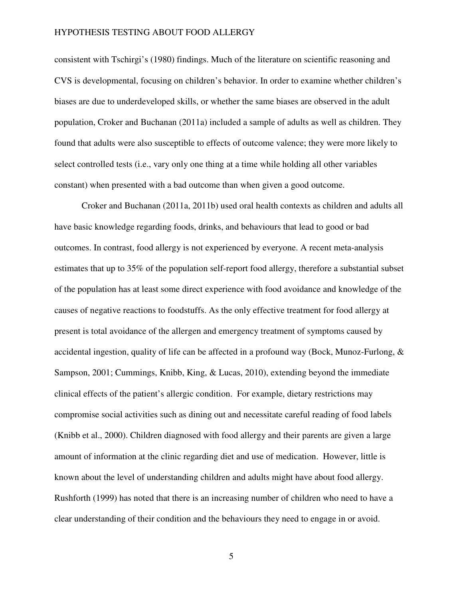consistent with Tschirgi's (1980) findings. Much of the literature on scientific reasoning and CVS is developmental, focusing on children's behavior. In order to examine whether children's biases are due to underdeveloped skills, or whether the same biases are observed in the adult population, Croker and Buchanan (2011a) included a sample of adults as well as children. They found that adults were also susceptible to effects of outcome valence; they were more likely to select controlled tests (i.e., vary only one thing at a time while holding all other variables constant) when presented with a bad outcome than when given a good outcome.

Croker and Buchanan (2011a, 2011b) used oral health contexts as children and adults all have basic knowledge regarding foods, drinks, and behaviours that lead to good or bad outcomes. In contrast, food allergy is not experienced by everyone. A recent meta-analysis estimates that up to 35% of the population self-report food allergy, therefore a substantial subset of the population has at least some direct experience with food avoidance and knowledge of the causes of negative reactions to foodstuffs. As the only effective treatment for food allergy at present is total avoidance of the allergen and emergency treatment of symptoms caused by accidental ingestion, quality of life can be affected in a profound way (Bock, Munoz-Furlong, & Sampson, 2001; Cummings, Knibb, King, & Lucas, 2010), extending beyond the immediate clinical effects of the patient's allergic condition. For example, dietary restrictions may compromise social activities such as dining out and necessitate careful reading of food labels (Knibb et al., 2000). Children diagnosed with food allergy and their parents are given a large amount of information at the clinic regarding diet and use of medication. However, little is known about the level of understanding children and adults might have about food allergy. Rushforth (1999) has noted that there is an increasing number of children who need to have a clear understanding of their condition and the behaviours they need to engage in or avoid.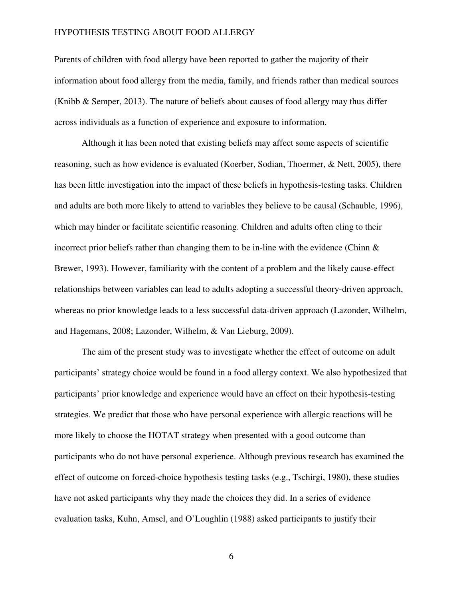Parents of children with food allergy have been reported to gather the majority of their information about food allergy from the media, family, and friends rather than medical sources (Knibb & Semper, 2013). The nature of beliefs about causes of food allergy may thus differ across individuals as a function of experience and exposure to information.

Although it has been noted that existing beliefs may affect some aspects of scientific reasoning, such as how evidence is evaluated (Koerber, Sodian, Thoermer, & Nett, 2005), there has been little investigation into the impact of these beliefs in hypothesis-testing tasks. Children and adults are both more likely to attend to variables they believe to be causal (Schauble, 1996), which may hinder or facilitate scientific reasoning. Children and adults often cling to their incorrect prior beliefs rather than changing them to be in-line with the evidence (Chinn  $\&$ Brewer, 1993). However, familiarity with the content of a problem and the likely cause-effect relationships between variables can lead to adults adopting a successful theory-driven approach, whereas no prior knowledge leads to a less successful data-driven approach (Lazonder, Wilhelm, and Hagemans, 2008; Lazonder, Wilhelm, & Van Lieburg, 2009).

The aim of the present study was to investigate whether the effect of outcome on adult participants' strategy choice would be found in a food allergy context. We also hypothesized that participants' prior knowledge and experience would have an effect on their hypothesis-testing strategies. We predict that those who have personal experience with allergic reactions will be more likely to choose the HOTAT strategy when presented with a good outcome than participants who do not have personal experience. Although previous research has examined the effect of outcome on forced-choice hypothesis testing tasks (e.g., Tschirgi, 1980), these studies have not asked participants why they made the choices they did. In a series of evidence evaluation tasks, Kuhn, Amsel, and O'Loughlin (1988) asked participants to justify their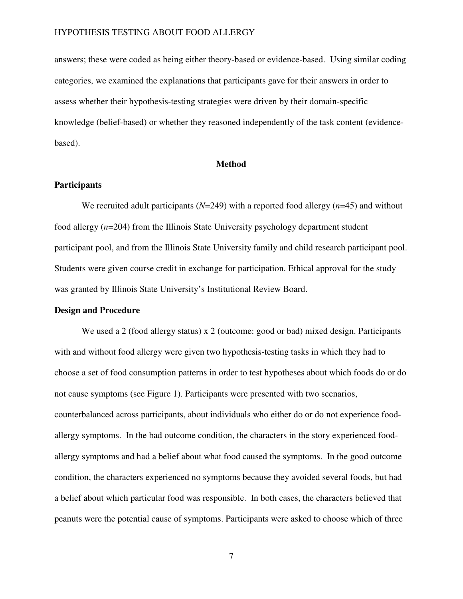answers; these were coded as being either theory-based or evidence-based. Using similar coding categories, we examined the explanations that participants gave for their answers in order to assess whether their hypothesis-testing strategies were driven by their domain-specific knowledge (belief-based) or whether they reasoned independently of the task content (evidencebased).

# **Method**

# **Participants**

We recruited adult participants (*N*=249) with a reported food allergy (*n*=45) and without food allergy (*n*=204) from the Illinois State University psychology department student participant pool, and from the Illinois State University family and child research participant pool. Students were given course credit in exchange for participation. Ethical approval for the study was granted by Illinois State University's Institutional Review Board.

# **Design and Procedure**

We used a 2 (food allergy status) x 2 (outcome: good or bad) mixed design. Participants with and without food allergy were given two hypothesis-testing tasks in which they had to choose a set of food consumption patterns in order to test hypotheses about which foods do or do not cause symptoms (see Figure 1). Participants were presented with two scenarios, counterbalanced across participants, about individuals who either do or do not experience foodallergy symptoms. In the bad outcome condition, the characters in the story experienced foodallergy symptoms and had a belief about what food caused the symptoms. In the good outcome condition, the characters experienced no symptoms because they avoided several foods, but had a belief about which particular food was responsible. In both cases, the characters believed that peanuts were the potential cause of symptoms. Participants were asked to choose which of three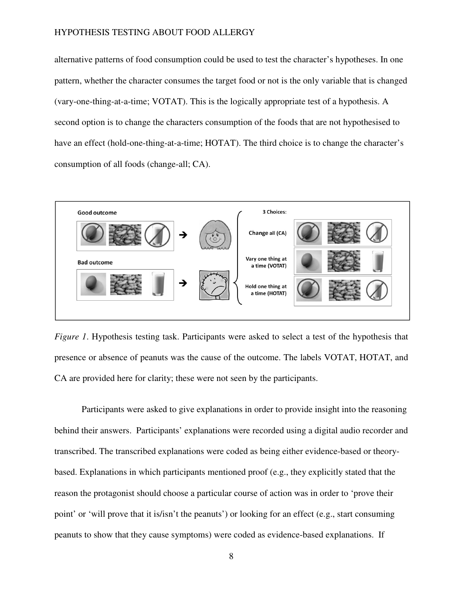alternative patterns of food consumption could be used to test the character's hypotheses. In one pattern, whether the character consumes the target food or not is the only variable that is changed (vary-one-thing-at-a-time; VOTAT). This is the logically appropriate test of a hypothesis. A second option is to change the characters consumption of the foods that are not hypothesised to have an effect (hold-one-thing-at-a-time; HOTAT). The third choice is to change the character's consumption of all foods (change-all; CA).



*Figure 1*. Hypothesis testing task. Participants were asked to select a test of the hypothesis that presence or absence of peanuts was the cause of the outcome. The labels VOTAT, HOTAT, and CA are provided here for clarity; these were not seen by the participants.

Participants were asked to give explanations in order to provide insight into the reasoning behind their answers. Participants' explanations were recorded using a digital audio recorder and transcribed. The transcribed explanations were coded as being either evidence-based or theorybased. Explanations in which participants mentioned proof (e.g., they explicitly stated that the reason the protagonist should choose a particular course of action was in order to 'prove their point' or 'will prove that it is/isn't the peanuts') or looking for an effect (e.g., start consuming peanuts to show that they cause symptoms) were coded as evidence-based explanations. If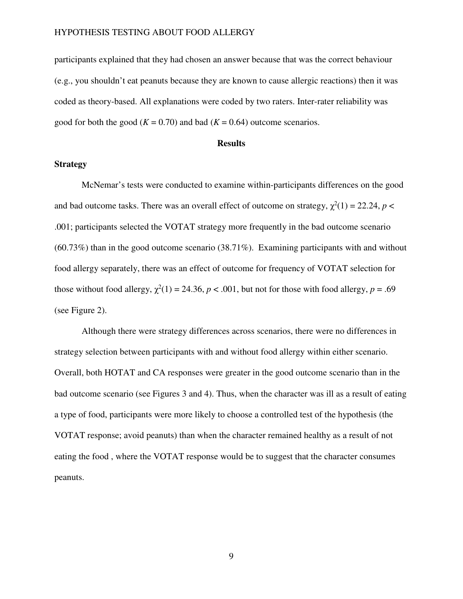participants explained that they had chosen an answer because that was the correct behaviour (e.g., you shouldn't eat peanuts because they are known to cause allergic reactions) then it was coded as theory-based. All explanations were coded by two raters. Inter-rater reliability was good for both the good ( $K = 0.70$ ) and bad ( $K = 0.64$ ) outcome scenarios.

#### **Results**

# **Strategy**

McNemar's tests were conducted to examine within-participants differences on the good and bad outcome tasks. There was an overall effect of outcome on strategy,  $\chi^2(1) = 22.24$ ,  $p <$ .001; participants selected the VOTAT strategy more frequently in the bad outcome scenario (60.73%) than in the good outcome scenario (38.71%). Examining participants with and without food allergy separately, there was an effect of outcome for frequency of VOTAT selection for those without food allergy,  $\chi^2(1) = 24.36$ ,  $p < .001$ , but not for those with food allergy,  $p = .69$ (see Figure 2).

Although there were strategy differences across scenarios, there were no differences in strategy selection between participants with and without food allergy within either scenario. Overall, both HOTAT and CA responses were greater in the good outcome scenario than in the bad outcome scenario (see Figures 3 and 4). Thus, when the character was ill as a result of eating a type of food, participants were more likely to choose a controlled test of the hypothesis (the VOTAT response; avoid peanuts) than when the character remained healthy as a result of not eating the food , where the VOTAT response would be to suggest that the character consumes peanuts.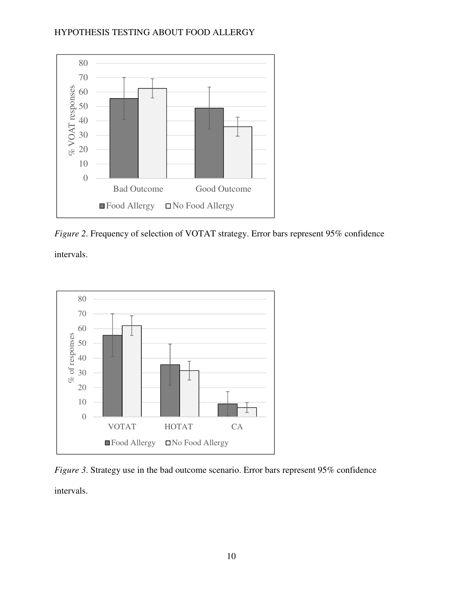

*Figure 2*. Frequency of selection of VOTAT strategy. Error bars represent 95% confidence

intervals.



*Figure 3*. Strategy use in the bad outcome scenario. Error bars represent 95% confidence intervals.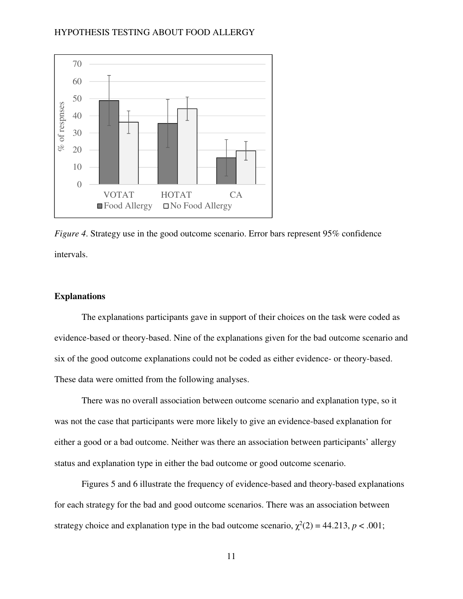

*Figure 4*. Strategy use in the good outcome scenario. Error bars represent 95% confidence intervals.

# **Explanations**

The explanations participants gave in support of their choices on the task were coded as evidence-based or theory-based. Nine of the explanations given for the bad outcome scenario and six of the good outcome explanations could not be coded as either evidence- or theory-based. These data were omitted from the following analyses.

There was no overall association between outcome scenario and explanation type, so it was not the case that participants were more likely to give an evidence-based explanation for either a good or a bad outcome. Neither was there an association between participants' allergy status and explanation type in either the bad outcome or good outcome scenario.

Figures 5 and 6 illustrate the frequency of evidence-based and theory-based explanations for each strategy for the bad and good outcome scenarios. There was an association between strategy choice and explanation type in the bad outcome scenario,  $\chi^2(2) = 44.213$ ,  $p < .001$ ;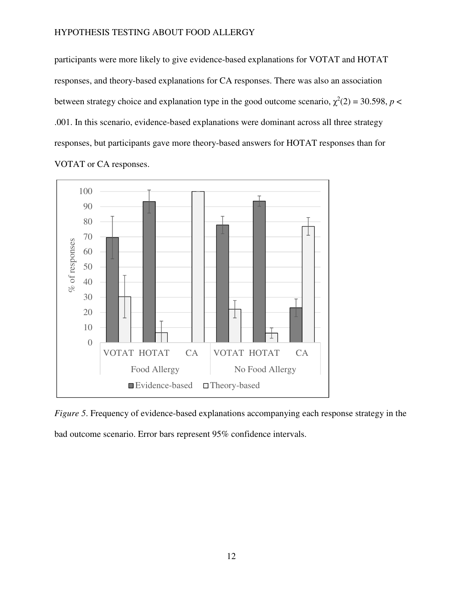participants were more likely to give evidence-based explanations for VOTAT and HOTAT responses, and theory-based explanations for CA responses. There was also an association between strategy choice and explanation type in the good outcome scenario,  $\chi^2(2) = 30.598$ ,  $p <$ .001. In this scenario, evidence-based explanations were dominant across all three strategy responses, but participants gave more theory-based answers for HOTAT responses than for VOTAT or CA responses.



*Figure 5*. Frequency of evidence-based explanations accompanying each response strategy in the bad outcome scenario. Error bars represent 95% confidence intervals.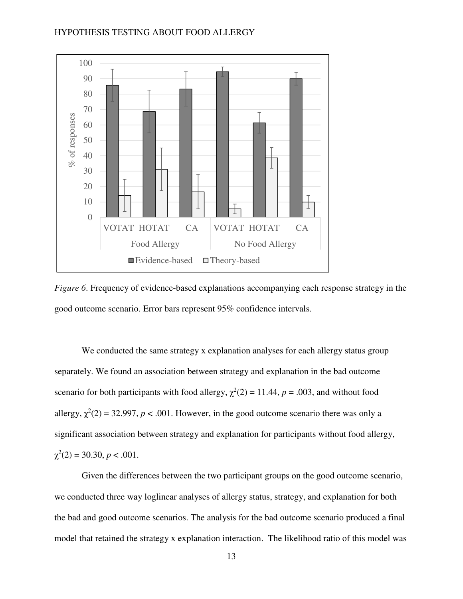

*Figure 6*. Frequency of evidence-based explanations accompanying each response strategy in the good outcome scenario. Error bars represent 95% confidence intervals.

We conducted the same strategy x explanation analyses for each allergy status group separately. We found an association between strategy and explanation in the bad outcome scenario for both participants with food allergy,  $\chi^2(2) = 11.44$ ,  $p = .003$ , and without food allergy,  $\chi^2(2) = 32.997$ ,  $p < .001$ . However, in the good outcome scenario there was only a significant association between strategy and explanation for participants without food allergy,  $\chi^2(2) = 30.30, p < .001.$ 

Given the differences between the two participant groups on the good outcome scenario, we conducted three way loglinear analyses of allergy status, strategy, and explanation for both the bad and good outcome scenarios. The analysis for the bad outcome scenario produced a final model that retained the strategy x explanation interaction. The likelihood ratio of this model was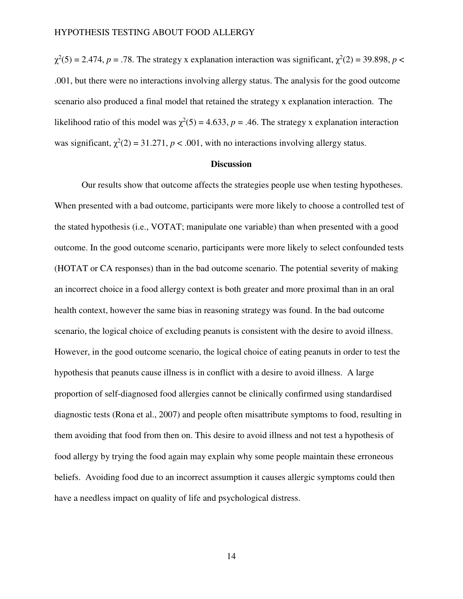$\chi^2(5) = 2.474$ , *p* = .78. The strategy x explanation interaction was significant,  $\chi^2(2) = 39.898$ , *p* < .001, but there were no interactions involving allergy status. The analysis for the good outcome scenario also produced a final model that retained the strategy x explanation interaction. The likelihood ratio of this model was  $\chi^2(5) = 4.633$ ,  $p = .46$ . The strategy x explanation interaction was significant,  $\chi^2(2) = 31.271$ ,  $p < .001$ , with no interactions involving allergy status.

### **Discussion**

Our results show that outcome affects the strategies people use when testing hypotheses. When presented with a bad outcome, participants were more likely to choose a controlled test of the stated hypothesis (i.e., VOTAT; manipulate one variable) than when presented with a good outcome. In the good outcome scenario, participants were more likely to select confounded tests (HOTAT or CA responses) than in the bad outcome scenario. The potential severity of making an incorrect choice in a food allergy context is both greater and more proximal than in an oral health context, however the same bias in reasoning strategy was found. In the bad outcome scenario, the logical choice of excluding peanuts is consistent with the desire to avoid illness. However, in the good outcome scenario, the logical choice of eating peanuts in order to test the hypothesis that peanuts cause illness is in conflict with a desire to avoid illness. A large proportion of self-diagnosed food allergies cannot be clinically confirmed using standardised diagnostic tests (Rona et al., 2007) and people often misattribute symptoms to food, resulting in them avoiding that food from then on. This desire to avoid illness and not test a hypothesis of food allergy by trying the food again may explain why some people maintain these erroneous beliefs. Avoiding food due to an incorrect assumption it causes allergic symptoms could then have a needless impact on quality of life and psychological distress.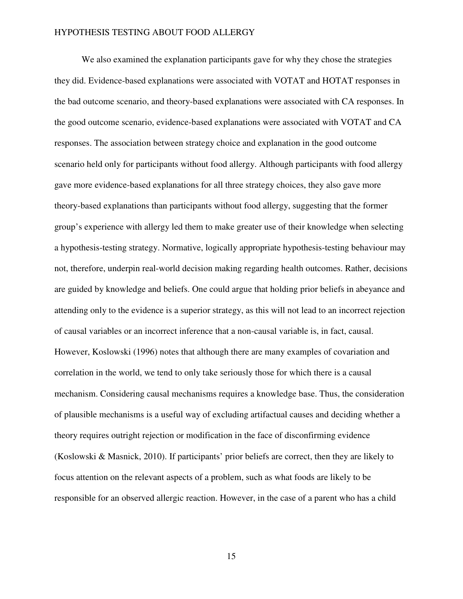We also examined the explanation participants gave for why they chose the strategies they did. Evidence-based explanations were associated with VOTAT and HOTAT responses in the bad outcome scenario, and theory-based explanations were associated with CA responses. In the good outcome scenario, evidence-based explanations were associated with VOTAT and CA responses. The association between strategy choice and explanation in the good outcome scenario held only for participants without food allergy. Although participants with food allergy gave more evidence-based explanations for all three strategy choices, they also gave more theory-based explanations than participants without food allergy, suggesting that the former group's experience with allergy led them to make greater use of their knowledge when selecting a hypothesis-testing strategy. Normative, logically appropriate hypothesis-testing behaviour may not, therefore, underpin real-world decision making regarding health outcomes. Rather, decisions are guided by knowledge and beliefs. One could argue that holding prior beliefs in abeyance and attending only to the evidence is a superior strategy, as this will not lead to an incorrect rejection of causal variables or an incorrect inference that a non-causal variable is, in fact, causal. However, Koslowski (1996) notes that although there are many examples of covariation and correlation in the world, we tend to only take seriously those for which there is a causal mechanism. Considering causal mechanisms requires a knowledge base. Thus, the consideration of plausible mechanisms is a useful way of excluding artifactual causes and deciding whether a theory requires outright rejection or modification in the face of disconfirming evidence (Koslowski & Masnick, 2010). If participants' prior beliefs are correct, then they are likely to focus attention on the relevant aspects of a problem, such as what foods are likely to be responsible for an observed allergic reaction. However, in the case of a parent who has a child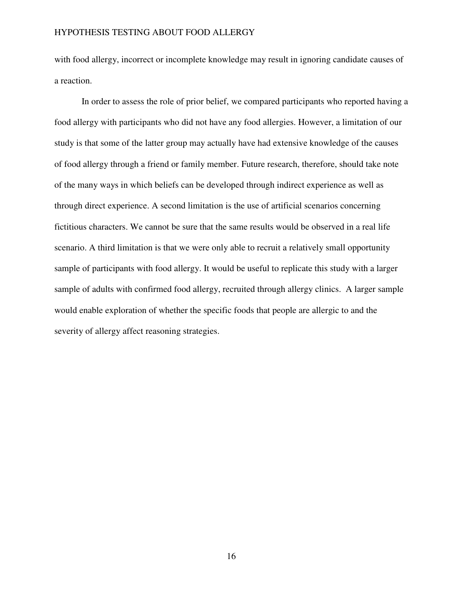with food allergy, incorrect or incomplete knowledge may result in ignoring candidate causes of a reaction.

In order to assess the role of prior belief, we compared participants who reported having a food allergy with participants who did not have any food allergies. However, a limitation of our study is that some of the latter group may actually have had extensive knowledge of the causes of food allergy through a friend or family member. Future research, therefore, should take note of the many ways in which beliefs can be developed through indirect experience as well as through direct experience. A second limitation is the use of artificial scenarios concerning fictitious characters. We cannot be sure that the same results would be observed in a real life scenario. A third limitation is that we were only able to recruit a relatively small opportunity sample of participants with food allergy. It would be useful to replicate this study with a larger sample of adults with confirmed food allergy, recruited through allergy clinics. A larger sample would enable exploration of whether the specific foods that people are allergic to and the severity of allergy affect reasoning strategies.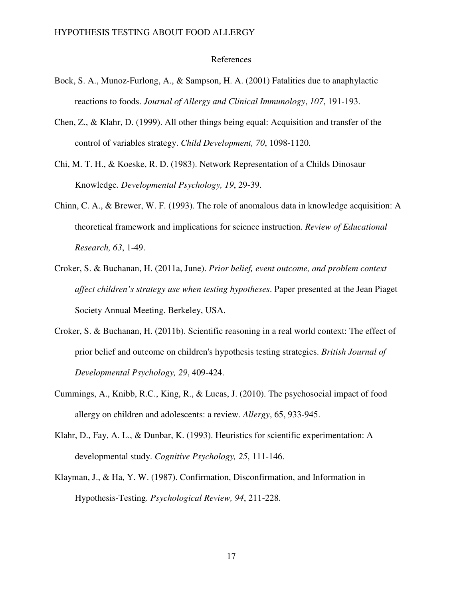### References

- Bock, S. A., Munoz-Furlong, A., & Sampson, H. A. (2001) Fatalities due to anaphylactic reactions to foods. *Journal of Allergy and Clinical Immunology*, *107*, 191-193.
- Chen, Z., & Klahr, D. (1999). All other things being equal: Acquisition and transfer of the control of variables strategy. *Child Development, 70*, 1098-1120.
- Chi, M. T. H., & Koeske, R. D. (1983). Network Representation of a Childs Dinosaur Knowledge. *Developmental Psychology, 19*, 29-39.
- Chinn, C. A., & Brewer, W. F. (1993). The role of anomalous data in knowledge acquisition: A theoretical framework and implications for science instruction. *Review of Educational Research, 63*, 1-49.
- Croker, S. & Buchanan, H. (2011a, June). *Prior belief, event outcome, and problem context affect children's strategy use when testing hypotheses*. Paper presented at the Jean Piaget Society Annual Meeting. Berkeley, USA.
- Croker, S. & Buchanan, H. (2011b). Scientific reasoning in a real world context: The effect of prior belief and outcome on children's hypothesis testing strategies. *British Journal of Developmental Psychology, 29*, 409-424.
- Cummings, A., Knibb, R.C., King, R., & Lucas, J. (2010). The psychosocial impact of food allergy on children and adolescents: a review. *Allergy*, 65, 933-945.
- Klahr, D., Fay, A. L., & Dunbar, K. (1993). Heuristics for scientific experimentation: A developmental study. *Cognitive Psychology, 25*, 111-146.
- Klayman, J., & Ha, Y. W. (1987). Confirmation, Disconfirmation, and Information in Hypothesis-Testing. *Psychological Review, 94*, 211-228.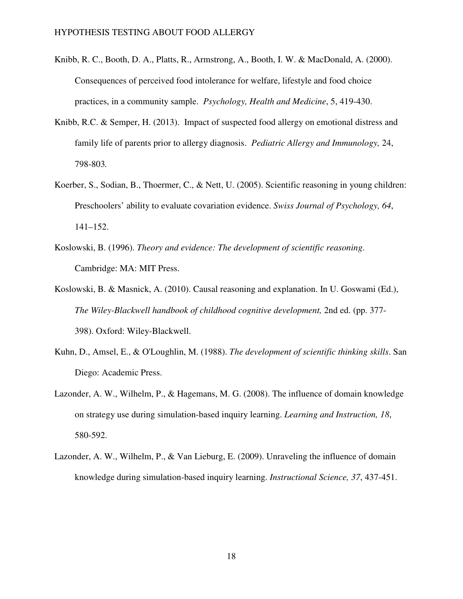- Knibb, R. C., Booth, D. A., Platts, R., Armstrong, A., Booth, I. W. & MacDonald, A. (2000). Consequences of perceived food intolerance for welfare, lifestyle and food choice practices, in a community sample. *Psychology, Health and Medicine*, 5, 419-430.
- Knibb, R.C. & Semper, H. (2013). Impact of suspected food allergy on emotional distress and family life of parents prior to allergy diagnosis. *Pediatric Allergy and Immunology,* 24, 798-803*.*
- Koerber, S., Sodian, B., Thoermer, C., & Nett, U. (2005). Scientific reasoning in young children: Preschoolers' ability to evaluate covariation evidence. *Swiss Journal of Psychology, 64*, 141–152.
- Koslowski, B. (1996). *Theory and evidence: The development of scientific reasoning*. Cambridge: MA: MIT Press.
- Koslowski, B. & Masnick, A. (2010). Causal reasoning and explanation. In U. Goswami (Ed.), *The Wiley-Blackwell handbook of childhood cognitive development,* 2nd ed. (pp. 377- 398). Oxford: Wiley-Blackwell.
- Kuhn, D., Amsel, E., & O'Loughlin, M. (1988). *The development of scientific thinking skills*. San Diego: Academic Press.
- Lazonder, A. W., Wilhelm, P., & Hagemans, M. G. (2008). The influence of domain knowledge on strategy use during simulation-based inquiry learning. *Learning and Instruction, 18*, 580-592.
- Lazonder, A. W., Wilhelm, P., & Van Lieburg, E. (2009). Unraveling the influence of domain knowledge during simulation-based inquiry learning. *Instructional Science, 37*, 437-451.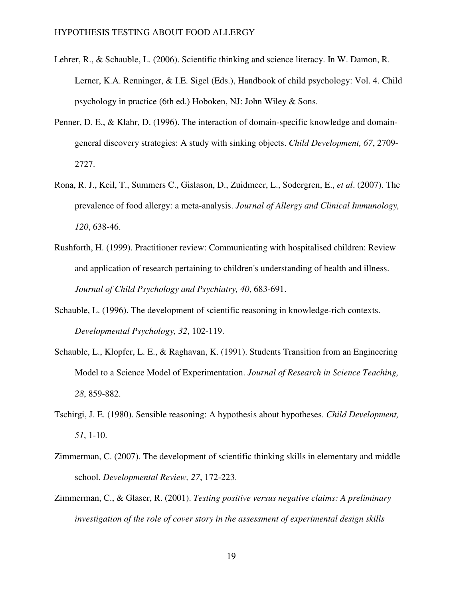- Lehrer, R., & Schauble, L. (2006). Scientific thinking and science literacy. In W. Damon, R. Lerner, K.A. Renninger, & I.E. Sigel (Eds.), Handbook of child psychology: Vol. 4. Child psychology in practice (6th ed.) Hoboken, NJ: John Wiley & Sons.
- Penner, D. E., & Klahr, D. (1996). The interaction of domain-specific knowledge and domaingeneral discovery strategies: A study with sinking objects. *Child Development, 67*, 2709- 2727.
- Rona, R. J., Keil, T., Summers C., Gislason, D., Zuidmeer, L., Sodergren, E., *et al*. (2007). The prevalence of food allergy: a meta-analysis. *Journal of Allergy and Clinical Immunology, 120*, 638-46.
- Rushforth, H. (1999). Practitioner review: Communicating with hospitalised children: Review and application of research pertaining to children's understanding of health and illness. *Journal of Child Psychology and Psychiatry, 40*, 683-691.
- Schauble, L. (1996). The development of scientific reasoning in knowledge-rich contexts. *Developmental Psychology, 32*, 102-119.
- Schauble, L., Klopfer, L. E., & Raghavan, K. (1991). Students Transition from an Engineering Model to a Science Model of Experimentation. *Journal of Research in Science Teaching, 28*, 859-882.
- Tschirgi, J. E. (1980). Sensible reasoning: A hypothesis about hypotheses. *Child Development, 51*, 1-10.
- Zimmerman, C. (2007). The development of scientific thinking skills in elementary and middle school. *Developmental Review, 27*, 172-223.
- Zimmerman, C., & Glaser, R. (2001). *Testing positive versus negative claims: A preliminary investigation of the role of cover story in the assessment of experimental design skills*